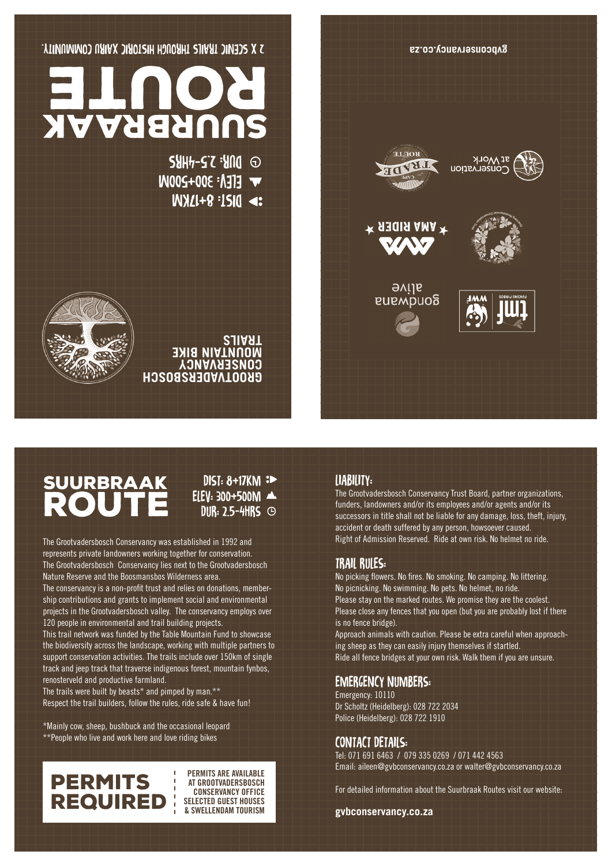

## suurbraak ROUTE

DIST: 8+17KM : ELEV: 300+500M DUR: 2.5-4HRS

The Grootvadersbosch Conservancy was established in 1992 and represents private landowners working together for conservation. The Grootvadersbosch Conservancy lies next to the Grootvadersbosch Nature Reserve and the Boosmansbos Wilderness area.

The conservancy is a non-profit trust and relies on donations, membership contributions and grants to implement social and environmental projects in the Grootvadersbosch valley. The conservancy employs over 120 people in environmental and trail building projects.

This trail network was funded by the Table Mountain Fund to showcase the biodiversity across the landscape, working with multiple partners to support conservation activities. The trails include over 150km of single track and jeep track that traverse indigenous forest, mountain fynbos, renosterveld and productive farmland.

The trails were built by beasts\* and pimped by man.\*\* Respect the trail builders, follow the rules, ride safe & have fun!

\*Mainly cow, sheep, bushbuck and the occasional leopard \*\*People who live and work here and love riding bikes

## PERMITS REQUIRED

**PERMITS ARE AVAILABLE AT GROOTVADERSBOSCH CONSERVANCY OFFICE SELECTED GUEST HOUSES & SWELLENDAM TOURISM**

#### LIABILITY:

The Grootvadersbosch Conservancy Trust Board, partner organizations, funders, landowners and/or its employees and/or agents and/or its successors in title shall not be liable for any damage, loss, theft, injury, accident or death suffered by any person, howsoever caused. Right of Admission Reserved. Ride at own risk. No helmet no ride.

#### TRAIL RULES:

No picking flowers. No fires. No smoking. No camping. No littering. No picnicking. No swimming. No pets. No helmet, no ride. Please stay on the marked routes. We promise they are the coolest. Please close any fences that you open (but you are probably lost if there is no fence bridge).

Approach animals with caution. Please be extra careful when approaching sheep as they can easily injury themselves if startled. Ride all fence bridges at your own risk. Walk them if you are unsure.

#### EMERGENCY NUMBERS:

Emergency: 10110 Dr Scholtz (Heidelberg): 028 722 2034 Police (Heidelberg): 028 722 1910

#### CONTACT DETAILS:

Tel: 071 691 6463 / 079 335 0269 / 071 442 4563 Email: aileen@gvbconservancy.co.za or walter@gvbconservancy.co.za

For detailed information about the Suurbraak Routes visit our website:

**gvbconservancy.co.za**